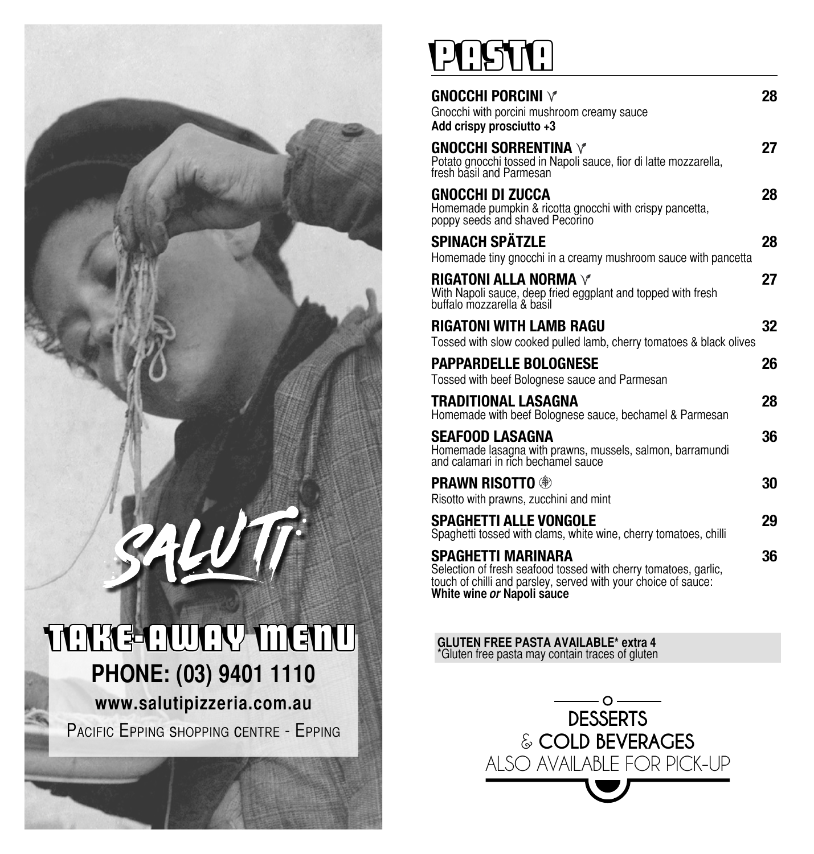### **PHONE: (03) 9401 1110 www.salutipizzeria.com.au**  Pacific EPPing shoPPing cEntrE - EPPing TAKE-AWAY MENU

ALUTT

## PASTA

| GNOCCHI PORCINI $\vee$<br>Gnocchi with porcini mushroom creamy sauce<br>Add crispy prosciutto +3                                                                                      | 28 |
|---------------------------------------------------------------------------------------------------------------------------------------------------------------------------------------|----|
| <b>GNOCCHI SORRENTINA V</b><br>Potato gnocchi tossed in Napoli sauce, fior di latte mozzarella,<br>fresh basil and Parmesan                                                           | 27 |
| GNOCCHI DI ZUCCA<br>Homemade pumpkin & ricotta gnocchi with crispy pancetta,<br>poppy seeds and shaved Pecorino                                                                       | 28 |
| <b>SPINACH SPÄTZLE</b><br>Homemade tiny gnocchi in a creamy mushroom sauce with pancetta                                                                                              | 28 |
| RIGATONI ALLA NORMA $\vee$<br>With Napoli sauce, deep fried eggplant and topped with fresh<br>buffalo mozzarella & basil                                                              | 27 |
| RIGATONI WITH LAMB RAGU<br>Tossed with slow cooked pulled lamb, cherry tomatoes & black olives                                                                                        | 32 |
| <b>PAPPARDELLE BOLOGNESE</b><br>Tossed with beef Bolognese sauce and Parmesan                                                                                                         | 26 |
| TRADITIONAL LASAGNA<br>Homemade with beef Bolognese sauce, bechamel & Parmesan                                                                                                        | 28 |
| SEAFOOD LASAGNA<br>Homemade lasagna with prawns, mussels, salmon, barramundi<br>and calamari in rich bechamel sauce                                                                   | 36 |
| <b>Prawn Risotto ®</b><br>Risotto with prawns, zucchini and mint                                                                                                                      | 30 |
| SPAGHETTI ALLE VONGOLE<br>Spaghetti tossed with clams, white wine, cherry tomatoes, chilli                                                                                            | 29 |
| SPAGHETTI MARINARA<br>Selection of fresh seafood tossed with cherry tomatoes, garlic,<br>touch of chilli and parsley, served with your choice of sauce:<br>White wine or Napoli sauce | 36 |

**GLUTEN FREE PASTA AVAILABLE\* extra 4** \*Gluten free pasta may contain traces of gluten

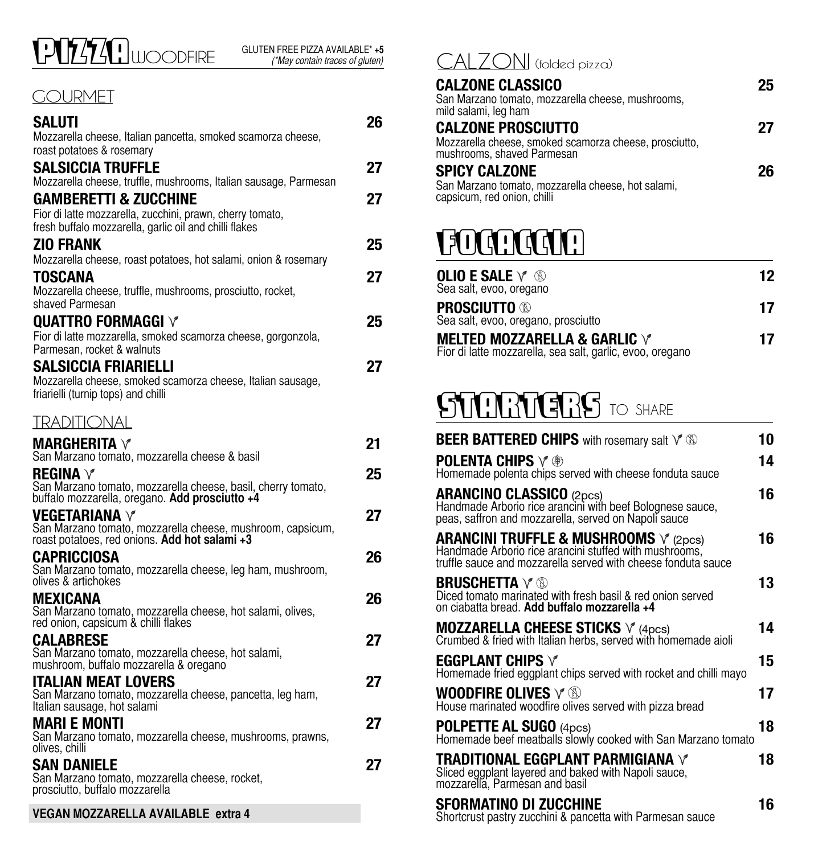### PIZZA WOODFIRE

#### **GOURMET**

| SALUTI                                                                                                                          | 26 |
|---------------------------------------------------------------------------------------------------------------------------------|----|
| Mozzarella cheese, Italian pancetta, smoked scamorza cheese,                                                                    |    |
| roast potatoes & rosemary<br>Salsiccia Truffle                                                                                  | 27 |
| Mozzarella cheese, truffle, mushrooms, Italian sausage, Parmesan                                                                |    |
| <b>GAMBERETTI &amp; ZUCCHINE</b>                                                                                                | 27 |
| Fior di latte mozzarella, zucchini, prawn, cherry tomato,<br>fresh buffalo mozzarella, garlic oil and chilli flakes             |    |
| <b>ZIO FRANK</b>                                                                                                                | 25 |
| Mozzarella cheese, roast potatoes, hot salami, onion & rosemary                                                                 |    |
| TOSCANA<br>Mozzarella cheese, truffle, mushrooms, prosciutto, rocket,<br>shaved Parmesan                                        | 27 |
| <b>QUATTRO FORMAGGI V</b>                                                                                                       | 25 |
| Fior di latte mozzarella, smoked scamorza cheese, gorgonzola,<br>Parmesan, rocket & walnuts                                     |    |
| SALSICCIA FRIARIELLI<br>Mozzarella cheese, smoked scamorza cheese, Italian sausage,<br>friarielli (turnip tops) and chilli      | 27 |
| TRADITIONAL                                                                                                                     |    |
| MARGHERITA $\forall$<br>San Marzano tomato, mozzarella cheese & basil                                                           | 21 |
| REGINA $\vee$<br>San Marzano tomato, mozzarella cheese, basil, cherry tomato,<br>buffalo mozzarella, oregano. Add prosciutto +4 | 25 |
| VEGETARIANA V<br>San Marzano tomato, mozzarella cheese, mushroom, capsicum,<br>roast potatoes, red onions. Add hot salami +3    | 27 |
| CAPRICCIOSA<br>San Marzano tomato, mozzarella cheese, leg ham, mushroom,<br>olives & artichokes                                 | 26 |
| <b>MEXICANA</b><br>San Marzano tomato, mozzarella cheese, hot salami, olives,<br>red onion, capsicum & chilli flakes            | 26 |
| <b>CALABRESE</b><br>San Marzano tomato, mozzarella cheese, hot salami,<br>mushroom, buffalo mozzarella & oregano                | 27 |
| ITALIAN MEAT LOVERS<br>San Marzano tomato, mozzarella cheese, pancetta, leg ham,<br>Italian sausage, hot salami                 | 27 |
| MARI E MONTI<br>San Marzano tomato, mozzarella cheese, mushrooms, prawns,<br>olives, chilli                                     | 27 |
| SAN DANIELE<br>San Marzano tomato, mozzarella cheese, rocket,<br>prosciutto, buffalo mozzarella                                 | 27 |
| VEGAN MOZZARELLA AVAILABLE extra 4                                                                                              |    |

### CALZONI (folded pizza)

#### **CALZONE CLASSICO 25**

| San Marzano tomato, mozzarella cheese, mushrooms,<br>mild salami, leg ham            |    |
|--------------------------------------------------------------------------------------|----|
| <b>CALZONE PROSCIUTTO</b>                                                            | 27 |
| Mozzarella cheese, smoked scamorza cheese, prosciutto,<br>mushrooms, shaved Parmesan |    |
| <b>SPICY CALZONE</b>                                                                 | 26 |
| San Marzano tomato, mozzarella cheese, hot salami,<br>capsicum, red onion, chilli    |    |

### FOCACCIA

| OLIO E SALE $\forall\, \, \circledS$<br>Sea salt, evoo, oregano                                   | 12 |
|---------------------------------------------------------------------------------------------------|----|
| <b>Prosciutto ®</b><br>Sea salt, evoo, oregano, prosciutto                                        | 17 |
| MELTED MOZZARELLA & GARLIC $\forall$<br>Fior di latte mozzarella, sea salt, garlic, evoo, oregano | 17 |

### STARTERS TO SHARE

| <b>BEER BATTERED CHIPS</b> with rosemary salt $\vee$ $\mathbb{D}$                                                                                                                    | 10 |
|--------------------------------------------------------------------------------------------------------------------------------------------------------------------------------------|----|
| <b>POLENTA CHIPS</b> $\vee$ ®<br>Homemade polenta chips served with cheese fonduta sauce                                                                                             | 14 |
| <b>ARANCINO CLASSICO</b> (2pcs)<br>Handmade Arborio rice arancini with beef Bolognese sauce,<br>peas, saffron and mozzarella, served on Napoli sauce                                 | 16 |
| <b>ARANCINI TRUFFLE &amp; MUSHROOMS</b> $\sqrt{2}$ (2pcs)<br>Handmade Arborio rice arancini stuffed with mushrooms,<br>truffle sauce and mozzarella served with cheese fonduta sauce | 16 |
| <b>BRUSCHETTA</b> Y ®<br>Diced tomato marinated with fresh basil & red onion served<br>on ciabatta bread. Add buffalo mozzarella +4                                                  | 13 |
| <b>MOZZARELLA CHEESE STICKS</b> $\sqrt{\ }$ (4pcs)<br>Crumbed & fried with Italian herbs, served with homemade aioli                                                                 | 14 |
| EGGPLANT CHIPS $\forall$<br>Homemade fried eggplant chips served with rocket and chilli mayo                                                                                         | 15 |
| WOODFIRE OLIVES $\lor \textcircled{\tiny{\textcircled{\tiny{M}}}}$<br>House marinated woodfire olives served with pizza bread                                                        | 17 |
| <b>POLPETTE AL SUGO (4pcs)</b><br>Homemade beef meatballs slowly cooked with San Marzano tomato                                                                                      | 18 |
| <b>TRADITIONAL EGGPLANT PARMIGIANA V</b><br>Sliced eggplant layered and baked with Napoli sauce,<br>mozzarella, Parmesan and basil                                                   | 18 |
| SFORMATINO DI ZUCCHINE<br>Shortcrust pastry zucchini & pancetta with Parmesan sauce                                                                                                  | 16 |